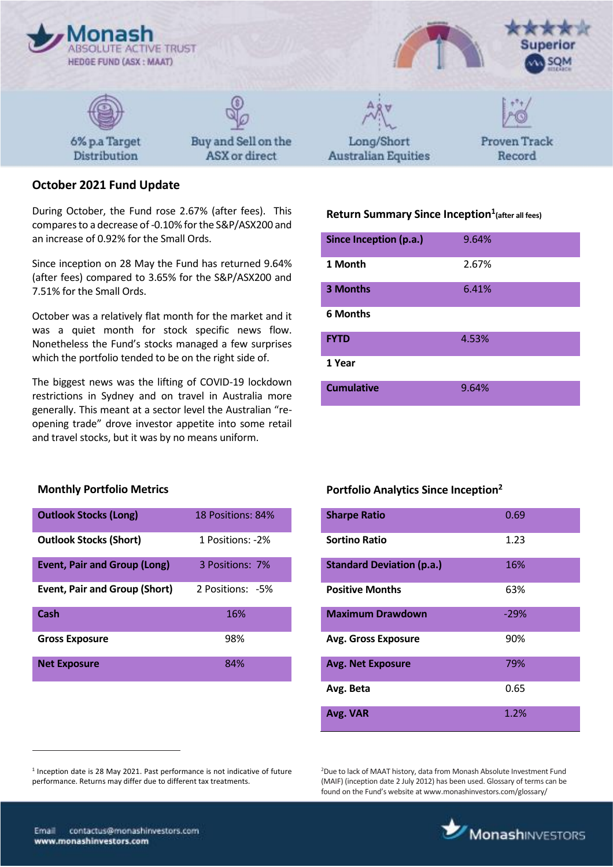

# **October 2021 Fund Update**

During October, the Fund rose 2.67% (after fees). This compares to a decrease of -0.10% for the S&P/ASX200 and an increase of 0.92% for the Small Ords.

Since inception on 28 May the Fund has returned 9.64% (after fees) compared to 3.65% for the S&P/ASX200 and 7.51% for the Small Ords.

October was a relatively flat month for the market and it was a quiet month for stock specific news flow. Nonetheless the Fund's stocks managed a few surprises which the portfolio tended to be on the right side of.

The biggest news was the lifting of COVID-19 lockdown restrictions in Sydney and on travel in Australia more generally. This meant at a sector level the Australian "reopening trade" drove investor appetite into some retail and travel stocks, but it was by no means uniform.

## **Monthly Portfolio Metrics**

| <b>Outlook Stocks (Long)</b>         | 18 Positions: 84% |
|--------------------------------------|-------------------|
| <b>Outlook Stocks (Short)</b>        | 1 Positions: -2%  |
| <b>Event, Pair and Group (Long)</b>  | 3 Positions: 7%   |
| <b>Event, Pair and Group (Short)</b> | 2 Positions: -5%  |
| Cash                                 | 16%               |
| <b>Gross Exposure</b>                | 98%               |
| <b>Net Exposure</b>                  | 84%               |

# **Return Summary Since Inception<sup>1</sup> (after all fees)**

| Since Inception (p.a.) | 9.64% |
|------------------------|-------|
| 1 Month                | 2.67% |
| 3 Months               | 6.41% |
| <b>6 Months</b>        |       |
| <b>FYTD</b>            | 4.53% |
| 1 Year                 |       |
| <b>Cumulative</b>      | 9.64% |

#### **Portfolio Analytics Since Inception<sup>2</sup>**

| <b>Sharpe Ratio</b>              | 0.69   |
|----------------------------------|--------|
| <b>Sortino Ratio</b>             | 1.23   |
| <b>Standard Deviation (p.a.)</b> | 16%    |
| <b>Positive Months</b>           | 63%    |
| <b>Maximum Drawdown</b>          | $-29%$ |
| <b>Avg. Gross Exposure</b>       | 90%    |
| <b>Avg. Net Exposure</b>         | 79%    |
| Avg. Beta                        | 0.65   |
| Avg. VAR                         | 1.2%   |

<sup>2</sup>Due to lack of MAAT history, data from Monash Absolute Investment Fund (MAIF) (inception date 2 July 2012) has been used. Glossary of terms can be found on the Fund's website at www.monashinvestors.com/glossary/

 $\overline{a}$ 

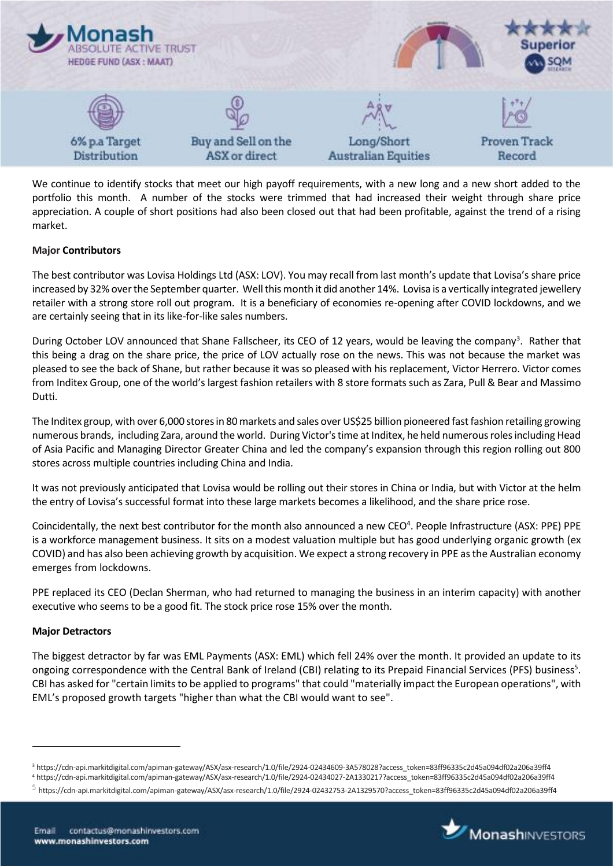

We continue to identify stocks that meet our high payoff requirements, with a new long and a new short added to the portfolio this month. A number of the stocks were trimmed that had increased their weight through share price appreciation. A couple of short positions had also been closed out that had been profitable, against the trend of a rising market.

## **Major Contributors**

The best contributor was Lovisa Holdings Ltd (ASX: LOV). You may recall from last month's update that Lovisa's share price increased by 32% over the September quarter. Well this month it did another 14%. Lovisa is a vertically integrated jewellery retailer with a strong store roll out program. It is a beneficiary of economies re-opening after COVID lockdowns, and we are certainly seeing that in its like-for-like sales numbers.

During October LOV announced that Shane Fallscheer, its CEO of 12 years, would be leaving the company<sup>3</sup>. Rather that this being a drag on the share price, the price of LOV actually rose on the news. This was not because the market was pleased to see the back of Shane, but rather because it was so pleased with his replacement, Victor Herrero. Victor comes from Inditex Group, one of the world's largest fashion retailers with 8 store formats such as Zara, Pull & Bear and Massimo Dutti.

The Inditex group, with over 6,000 stores in 80 markets and sales over US\$25 billion pioneered fast fashion retailing growing numerous brands, including Zara, around the world. During Victor's time at Inditex, he held numerous roles including Head of Asia Pacific and Managing Director Greater China and led the company's expansion through this region rolling out 800 stores across multiple countries including China and India.

It was not previously anticipated that Lovisa would be rolling out their stores in China or India, but with Victor at the helm the entry of Lovisa's successful format into these large markets becomes a likelihood, and the share price rose.

Coincidentally, the next best contributor for the month also announced a new CEO<sup>4</sup>. People Infrastructure (ASX: PPE) PPE is a workforce management business. It sits on a modest valuation multiple but has good underlying organic growth (ex COVID) and has also been achieving growth by acquisition. We expect a strong recovery in PPE as the Australian economy emerges from lockdowns.

PPE replaced its CEO (Declan Sherman, who had returned to managing the business in an interim capacity) with another executive who seems to be a good fit. The stock price rose 15% over the month.

### **Major Detractors**

 $\overline{a}$ 

The biggest detractor by far was EML Payments (ASX: EML) which fell 24% over the month. It provided an update to its ongoing correspondence with the Central Bank of Ireland (CBI) relating to its Prepaid Financial Services (PFS) business<sup>5</sup>. CBI has asked for "certain limits to be applied to programs" that could "materially impact the European operations", with EML's proposed growth targets "higher than what the CBI would want to see".



<sup>3</sup> https://cdn-api.markitdigital.com/apiman-gateway/ASX/asx-research/1.0/file/2924-02434609-3A578028?access\_token=83ff96335c2d45a094df02a206a39ff4

<sup>4</sup> https://cdn-api.markitdigital.com/apiman-gateway/ASX/asx-research/1.0/file/2924-02434027-2A1330217?access\_token=83ff96335c2d45a094df02a206a39ff4

 $^5$  https://cdn-api.markitdigital.com/apiman-gateway/ASX/asx-research/1.0/file/2924-02432753-2A1329570?access\_token=83ff96335c2d45a094df02a206a39ff4